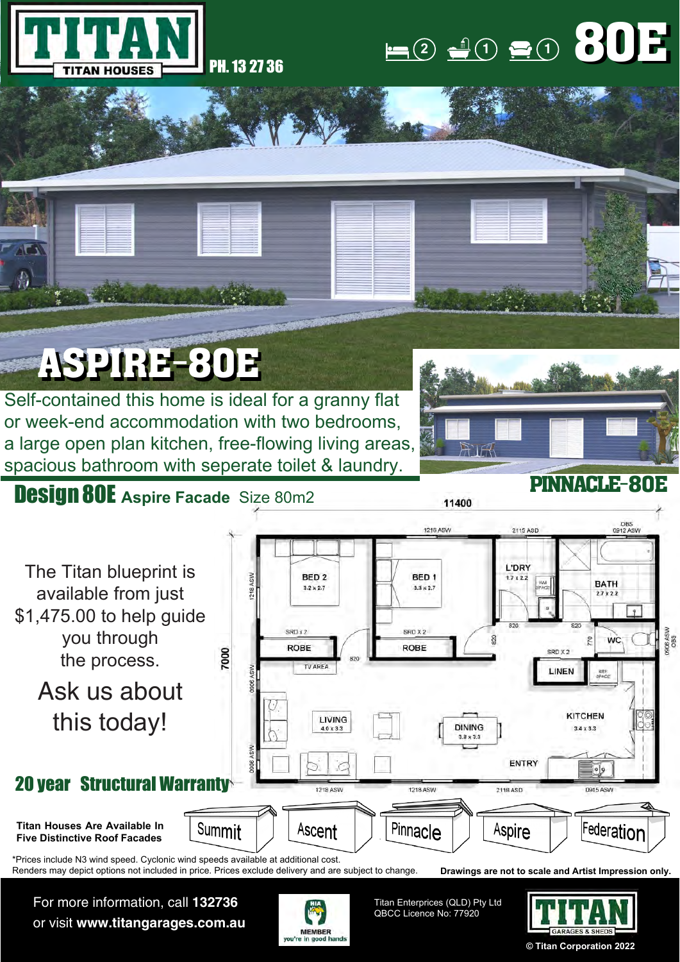

#### $(1)$  **1 1 1 1** 80E

### ASPIRE-80E

Self-contained this home is ideal for a granny flat or week-end accommodation with two bedrooms, a large open plan kitchen, free-flowing living areas, spacious bathroom with seperate toilet & laundry.

# PINNACLE-80E

#### Design 80E **Aspire Facade** Size 80m2



For more information, call **132736** or visit **www.titangarages.com.au**



Titan Enterprices (QLD) Pty Ltd QBCC Licence No: 77920



**© Titan Corporation 2022**